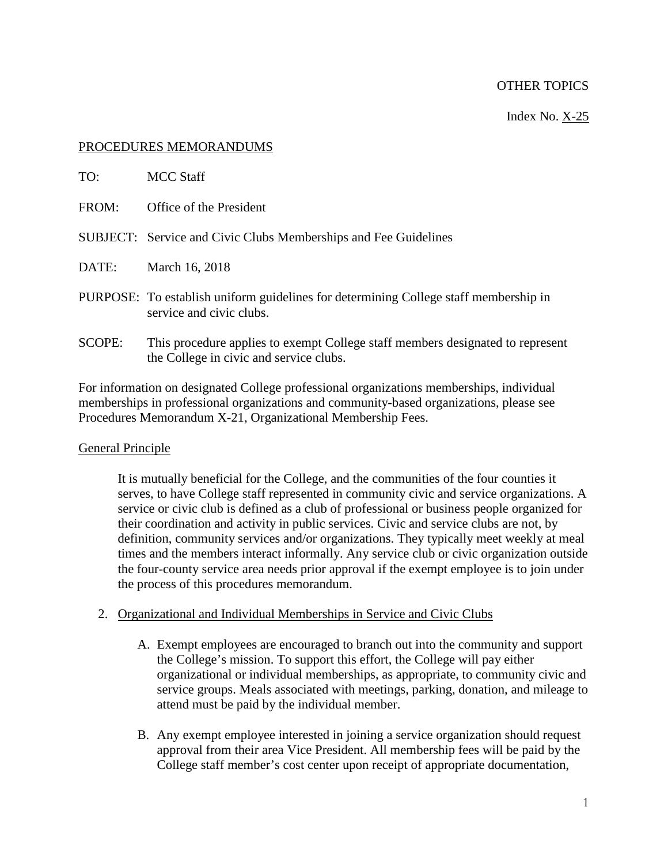## OTHER TOPICS

Index No. X-25

#### PROCEDURES MEMORANDUMS

| TO:           | MCC Staff                                                                                                                 |
|---------------|---------------------------------------------------------------------------------------------------------------------------|
| FROM:         | Office of the President                                                                                                   |
|               | <b>SUBJECT:</b> Service and Civic Clubs Memberships and Fee Guidelines                                                    |
| DATE:         | March 16, 2018                                                                                                            |
|               | PURPOSE: To establish uniform guidelines for determining College staff membership in<br>service and civic clubs.          |
| <b>SCOPE:</b> | This procedure applies to exempt College staff members designated to represent<br>the College in civic and service clubs. |

For information on designated College professional organizations memberships, individual memberships in professional organizations and community-based organizations, please see Procedures Memorandum X-21, Organizational Membership Fees.

## General Principle

It is mutually beneficial for the College, and the communities of the four counties it serves, to have College staff represented in community civic and service organizations. A service or civic club is defined as a club of professional or business people organized for their coordination and activity in public services. Civic and service clubs are not, by definition, community services and/or organizations. They typically meet weekly at meal times and the members interact informally. Any service club or civic organization outside the four-county service area needs prior approval if the exempt employee is to join under the process of this procedures memorandum.

## 2. Organizational and Individual Memberships in Service and Civic Clubs

- A. Exempt employees are encouraged to branch out into the community and support the College's mission. To support this effort, the College will pay either organizational or individual memberships, as appropriate, to community civic and service groups. Meals associated with meetings, parking, donation, and mileage to attend must be paid by the individual member.
- B. Any exempt employee interested in joining a service organization should request approval from their area Vice President. All membership fees will be paid by the College staff member's cost center upon receipt of appropriate documentation,